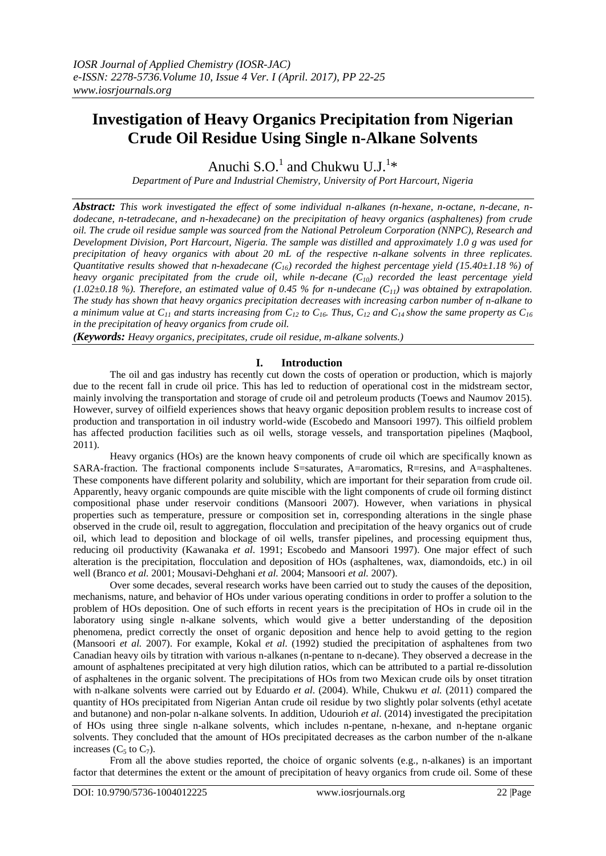# **Investigation of Heavy Organics Precipitation from Nigerian Crude Oil Residue Using Single n-Alkane Solvents**

Anuchi S.O.<sup>1</sup> and Chukwu U.J.<sup>1\*</sup>

*Department of Pure and Industrial Chemistry, University of Port Harcourt, Nigeria*

*Abstract: This work investigated the effect of some individual n-alkanes (n-hexane, n-octane, n-decane, ndodecane, n-tetradecane, and n-hexadecane) on the precipitation of heavy organics (asphaltenes) from crude oil. The crude oil residue sample was sourced from the National Petroleum Corporation (NNPC), Research and Development Division, Port Harcourt, Nigeria. The sample was distilled and approximately 1.0 g was used for precipitation of heavy organics with about 20 mL of the respective n-alkane solvents in three replicates. Quantitative results showed that n-hexadecane*  $(C_{16})$  *recorded the highest percentage yield* (15.40±1.18 %) of *heavy organic precipitated from the crude oil, while n-decane (C10) recorded the least percentage yield (1.02±0.18 %). Therefore, an estimated value of 0.45 % for n-undecane (C11) was obtained by extrapolation. The study has shown that heavy organics precipitation decreases with increasing carbon number of n-alkane to a minimum value at C<sup>11</sup> and starts increasing from C<sup>12</sup> to C16. Thus, C<sup>12</sup> and C14 show the same property as C<sup>16</sup> in the precipitation of heavy organics from crude oil.*

*(Keywords: Heavy organics, precipitates, crude oil residue, m-alkane solvents.)*

## **I. Introduction**

The oil and gas industry has recently cut down the costs of operation or production, which is majorly due to the recent fall in crude oil price. This has led to reduction of operational cost in the midstream sector, mainly involving the transportation and storage of crude oil and petroleum products (Toews and Naumov 2015). However, survey of oilfield experiences shows that heavy organic deposition problem results to increase cost of production and transportation in oil industry world-wide (Escobedo and Mansoori 1997). This oilfield problem has affected production facilities such as oil wells, storage vessels, and transportation pipelines (Maqbool, 2011).

Heavy organics (HOs) are the known heavy components of crude oil which are specifically known as SARA-fraction. The fractional components include S=saturates, A=aromatics, R=resins, and A=asphaltenes. These components have different polarity and solubility, which are important for their separation from crude oil. Apparently, heavy organic compounds are quite miscible with the light components of crude oil forming distinct compositional phase under reservoir conditions (Mansoori 2007). However, when variations in physical properties such as temperature, pressure or composition set in, corresponding alterations in the single phase observed in the crude oil, result to aggregation, flocculation and precipitation of the heavy organics out of crude oil, which lead to deposition and blockage of oil wells, transfer pipelines, and processing equipment thus, reducing oil productivity (Kawanaka *et al*. 1991; Escobedo and Mansoori 1997). One major effect of such alteration is the precipitation, flocculation and deposition of HOs (asphaltenes, wax, diamondoids, etc.) in oil well (Branco *et al.* 2001; Mousavi-Dehghani *et al.* 2004; Mansoori *et al.* 2007).

Over some decades, several research works have been carried out to study the causes of the deposition, mechanisms, nature, and behavior of HOs under various operating conditions in order to proffer a solution to the problem of HOs deposition. One of such efforts in recent years is the precipitation of HOs in crude oil in the laboratory using single n-alkane solvents, which would give a better understanding of the deposition phenomena, predict correctly the onset of organic deposition and hence help to avoid getting to the region (Mansoori *et al.* 2007). For example, Kokal *et al*. (1992) studied the precipitation of asphaltenes from two Canadian heavy oils by titration with various n-alkanes (n-pentane to n-decane). They observed a decrease in the amount of asphaltenes precipitated at very high dilution ratios, which can be attributed to a partial re-dissolution of asphaltenes in the organic solvent. The precipitations of HOs from two Mexican crude oils by onset titration with n-alkane solvents were carried out by Eduardo *et al*. (2004). While, Chukwu *et al.* (2011) compared the quantity of HOs precipitated from Nigerian Antan crude oil residue by two slightly polar solvents (ethyl acetate and butanone) and non-polar n-alkane solvents. In addition, Udourioh *et al*. (2014) investigated the precipitation of HOs using three single n-alkane solvents, which includes n-pentane, n-hexane, and n-heptane organic solvents. They concluded that the amount of HOs precipitated decreases as the carbon number of the n-alkane increases  $(C_5$  to  $C_7$ ).

From all the above studies reported, the choice of organic solvents (e.g., n-alkanes) is an important factor that determines the extent or the amount of precipitation of heavy organics from crude oil. Some of these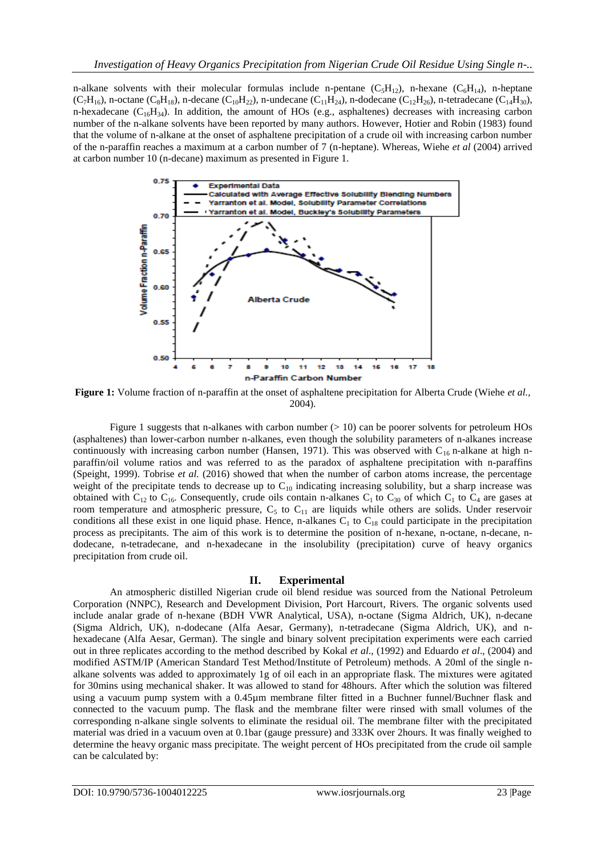n-alkane solvents with their molecular formulas include n-pentane  $(C_5H_{12})$ , n-hexane  $(C_6H_{14})$ , n-heptane  $(C_7H_{16})$ , n-octane  $(C_8H_{18})$ , n-decane  $(C_{10}H_{22})$ , n-undecane  $(C_{11}H_{24})$ , n-dodecane  $(C_{12}H_{26})$ , n-tetradecane  $(C_{14}H_{30})$ , n-hexadecane  $(C_{16}H_{34})$ . In addition, the amount of HOs (e.g., asphaltenes) decreases with increasing carbon number of the n-alkane solvents have been reported by many authors. However, Hotier and Robin (1983) found that the volume of n-alkane at the onset of asphaltene precipitation of a crude oil with increasing carbon number of the n-paraffin reaches a maximum at a carbon number of 7 (n-heptane). Whereas, Wiehe *et al* (2004) arrived at carbon number 10 (n-decane) maximum as presented in Figure 1.



**Figure 1:** Volume fraction of n-paraffin at the onset of asphaltene precipitation for Alberta Crude (Wiehe *et al.,* 2004).

Figure 1 suggests that n-alkanes with carbon number  $(> 10)$  can be poorer solvents for petroleum HOs (asphaltenes) than lower-carbon number n-alkanes, even though the solubility parameters of n-alkanes increase continuously with increasing carbon number (Hansen, 1971). This was observed with  $C_{16}$  n-alkane at high nparaffin/oil volume ratios and was referred to as the paradox of asphaltene precipitation with n-paraffins (Speight, 1999). Tobrise *et al.* (2016) showed that when the number of carbon atoms increase, the percentage weight of the precipitate tends to decrease up to  $C_{10}$  indicating increasing solubility, but a sharp increase was obtained with  $C_{12}$  to  $C_{16}$ . Consequently, crude oils contain n-alkanes  $C_1$  to  $C_{30}$  of which  $C_1$  to  $C_4$  are gases at room temperature and atmospheric pressure,  $C_5$  to  $C_{11}$  are liquids while others are solids. Under reservoir conditions all these exist in one liquid phase. Hence, n-alkanes  $C_1$  to  $C_{18}$  could participate in the precipitation process as precipitants. The aim of this work is to determine the position of n-hexane, n-octane, n-decane, ndodecane, n-tetradecane, and n-hexadecane in the insolubility (precipitation) curve of heavy organics precipitation from crude oil.

## **II. Experimental**

An atmospheric distilled Nigerian crude oil blend residue was sourced from the National Petroleum Corporation (NNPC), Research and Development Division, Port Harcourt, Rivers. The organic solvents used include analar grade of n-hexane (BDH VWR Analytical, USA), n-octane (Sigma Aldrich, UK), n-decane (Sigma Aldrich, UK), n-dodecane (Alfa Aesar, Germany), n-tetradecane (Sigma Aldrich, UK), and nhexadecane (Alfa Aesar, German). The single and binary solvent precipitation experiments were each carried out in three replicates according to the method described by Kokal *et al*., (1992) and Eduardo *et al*., (2004) and modified ASTM/IP (American Standard Test Method/Institute of Petroleum) methods. A 20ml of the single nalkane solvents was added to approximately 1g of oil each in an appropriate flask. The mixtures were agitated for 30mins using mechanical shaker. It was allowed to stand for 48hours. After which the solution was filtered using a vacuum pump system with a 0.45µm membrane filter fitted in a Buchner funnel/Buchner flask and connected to the vacuum pump. The flask and the membrane filter were rinsed with small volumes of the corresponding n-alkane single solvents to eliminate the residual oil. The membrane filter with the precipitated material was dried in a vacuum oven at 0.1bar (gauge pressure) and 333K over 2hours. It was finally weighed to determine the heavy organic mass precipitate. The weight percent of HOs precipitated from the crude oil sample can be calculated by: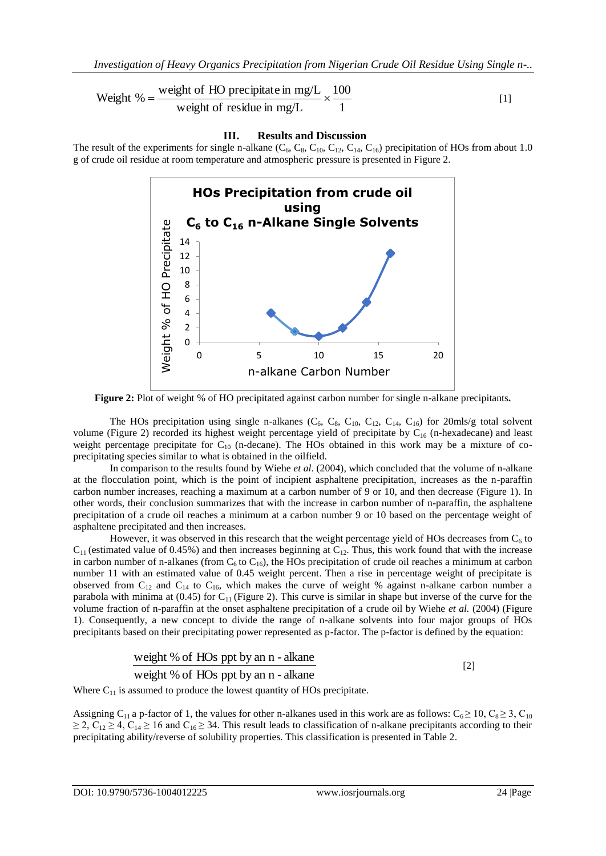Weight % = 
$$
\frac{\text{weight of HO} \text{ precipitate in mg/L}}{\text{weight of residue in mg/L}} \times \frac{100}{1}
$$
 [1]

#### **III. Results and Discussion**

The result of the experiments for single n-alkane  $(C_6, C_8, C_{10}, C_{12}, C_{14}, C_{16})$  precipitation of HOs from about 1.0 g of crude oil residue at room temperature and atmospheric pressure is presented in Figure 2.



**Figure 2:** Plot of weight % of HO precipitated against carbon number for single n-alkane precipitants**.**

The HOs precipitation using single n-alkanes  $(C_6, C_8, C_{10}, C_{12}, C_{14}, C_{16})$  for 20mls/g total solvent volume (Figure 2) recorded its highest weight percentage yield of precipitate by  $C_{16}$  (n-hexadecane) and least weight percentage precipitate for  $C_{10}$  (n-decane). The HOs obtained in this work may be a mixture of coprecipitating species similar to what is obtained in the oilfield.

In comparison to the results found by Wiehe *et al*. (2004), which concluded that the volume of n-alkane at the flocculation point, which is the point of incipient asphaltene precipitation, increases as the n-paraffin carbon number increases, reaching a maximum at a carbon number of 9 or 10, and then decrease (Figure 1). In other words, their conclusion summarizes that with the increase in carbon number of n-paraffin, the asphaltene precipitation of a crude oil reaches a minimum at a carbon number 9 or 10 based on the percentage weight of asphaltene precipitated and then increases.

However, it was observed in this research that the weight percentage yield of HOs decreases from  $C_6$  to  $C_{11}$  (estimated value of 0.45%) and then increases beginning at  $C_{12}$ . Thus, this work found that with the increase in carbon number of n-alkanes (from  $C_6$  to  $C_{16}$ ), the HOs precipitation of crude oil reaches a minimum at carbon number 11 with an estimated value of 0.45 weight percent. Then a rise in percentage weight of precipitate is observed from  $C_{12}$  and  $C_{14}$  to  $C_{16}$ , which makes the curve of weight % against n-alkane carbon number a parabola with minima at (0.45) for  $C_{11}$  (Figure 2). This curve is similar in shape but inverse of the curve for the volume fraction of n-paraffin at the onset asphaltene precipitation of a crude oil by Wiehe *et al.* (2004) (Figure 1). Consequently, a new concept to divide the range of n-alkane solvents into four major groups of HOs precipitants based on their precipitating power represented as p-factor. The p-factor is defined by the equation:

weight % of HOs ppt by an n - alkane weight % of HOs ppt by an n - alkane [2]

Where  $C_{11}$  is assumed to produce the lowest quantity of HOs precipitate.

Assigning C<sub>11</sub> a p-factor of 1, the values for other n-alkanes used in this work are as follows: C<sub>6</sub> ≥ 10, C<sub>8</sub> ≥ 3, C<sub>10</sub>  $\geq$  2, C<sub>12</sub>  $\geq$  4, C<sub>14</sub>  $\geq$  16 and C<sub>16</sub>  $\geq$  34. This result leads to classification of n-alkane precipitants according to their precipitating ability/reverse of solubility properties. This classification is presented in Table 2.